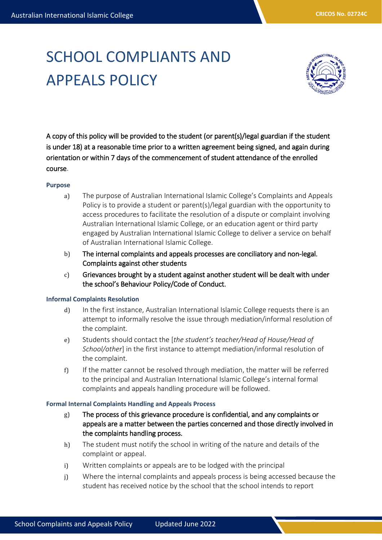# SCHOOL COMPLIANTS AND APPEALS POLICY



A copy of this policy will be provided to the student (or parent(s)/legal guardian if the student is under 18) at a reasonable time prior to a written agreement being signed, and again during orientation or within 7 days of the commencement of student attendance of the enrolled course.

#### **Purpose**

- a) The purpose of Australian International Islamic College's Complaints and Appeals Policy is to provide a student or parent(s)/legal guardian with the opportunity to access procedures to facilitate the resolution of a dispute or complaint involving Australian International Islamic College, or an education agent or third party engaged by Australian International Islamic College to deliver a service on behalf of Australian International Islamic College.
- b) The internal complaints and appeals processes are conciliatory and non-legal. Complaints against other students
- c) Grievances brought by a student against another student will be dealt with under the school's Behaviour Policy/Code of Conduct.

## **Informal Complaints Resolution**

- d) In the first instance, Australian International Islamic College requests there is an attempt to informally resolve the issue through mediation/informal resolution of the complaint.
- e) Students should contact the [*the student's teacher/Head of House/Head of School/other*] in the first instance to attempt mediation/informal resolution of the complaint.
- f) If the matter cannot be resolved through mediation, the matter will be referred to the principal and Australian International Islamic College's internal formal complaints and appeals handling procedure will be followed.

#### **Formal Internal Complaints Handling and Appeals Process**

- g) The process of this grievance procedure is confidential, and any complaints or appeals are a matter between the parties concerned and those directly involved in the complaints handling process.
- h) The student must notify the school in writing of the nature and details of the complaint or appeal.
- i) Written complaints or appeals are to be lodged with the principal
- j) Where the internal complaints and appeals process is being accessed because the student has received notice by the school that the school intends to report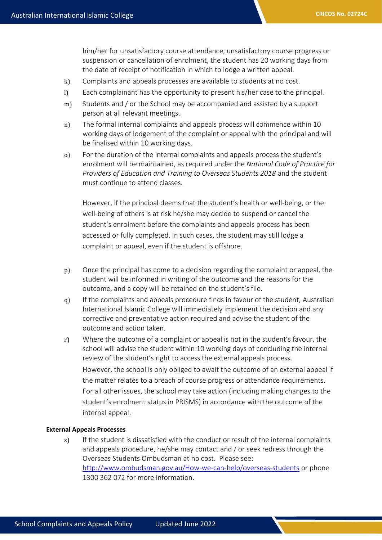him/her for unsatisfactory course attendance, unsatisfactory course progress or suspension or cancellation of enrolment, the student has 20 working days from the date of receipt of notification in which to lodge a written appeal.

- k) Complaints and appeals processes are available to students at no cost.
- l) Each complainant has the opportunity to present his/her case to the principal.
- m) Students and / or the School may be accompanied and assisted by a support person at all relevant meetings.
- n) The formal internal complaints and appeals process will commence within 10 working days of lodgement of the complaint or appeal with the principal and will be finalised within 10 working days.
- o) For the duration of the internal complaints and appeals process the student's enrolment will be maintained, as required under the *National Code of Practice for Providers of Education and Training to Overseas Students 2018* and the student must continue to attend classes.

However, if the principal deems that the student's health or well-being, or the well-being of others is at risk he/she may decide to suspend or cancel the student's enrolment before the complaints and appeals process has been accessed or fully completed. In such cases, the student may still lodge a complaint or appeal, even if the student is offshore.

- p) Once the principal has come to a decision regarding the complaint or appeal, the student will be informed in writing of the outcome and the reasons for the outcome, and a copy will be retained on the student's file.
- q) If the complaints and appeals procedure finds in favour of the student, Australian International Islamic College will immediately implement the decision and any corrective and preventative action required and advise the student of the outcome and action taken.
- r) Where the outcome of a complaint or appeal is not in the student's favour, the school will advise the student within 10 working days of concluding the internal review of the student's right to access the external appeals process. However, the school is only obliged to await the outcome of an external appeal if the matter relates to a breach of course progress or attendance requirements. For all other issues, the school may take action (including making changes to the student's enrolment status in PRISMS) in accordance with the outcome of the internal appeal.

#### **External Appeals Processes**

s) If the student is dissatisfied with the conduct or result of the internal complaints and appeals procedure, he/she may contact and / or seek redress through the Overseas Students Ombudsman at no cost. Please see: <http://www.ombudsman.gov.au/How-we-can-help/overseas-students> or phone 1300 362 072 for more information.